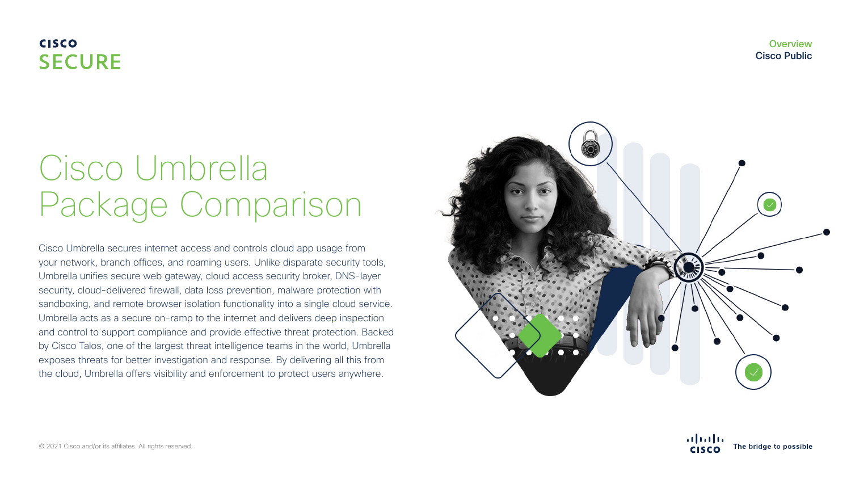#### **CISCO SECURE**

# Cisco Umbrella Package Comparison

Cisco Umbrella secures internet access and controls cloud app usage from your network, branch offices, and roaming users. Unlike disparate security tools, Umbrella unifies secure web gateway, cloud access security broker, DNS-layer security, cloud-delivered firewall, data loss prevention, malware protection with sandboxing, and remote browser isolation functionality into a single cloud service. Umbrella acts as a secure on-ramp to the internet and delivers deep inspection and control to support compliance and provide effective threat protection. Backed by Cisco Talos, one of the largest threat intelligence teams in the world, Umbrella exposes threats for better investigation and response. By delivering all this from the cloud, Umbrella offers visibility and enforcement to protect users anywhere.





**Overview** Cisco Public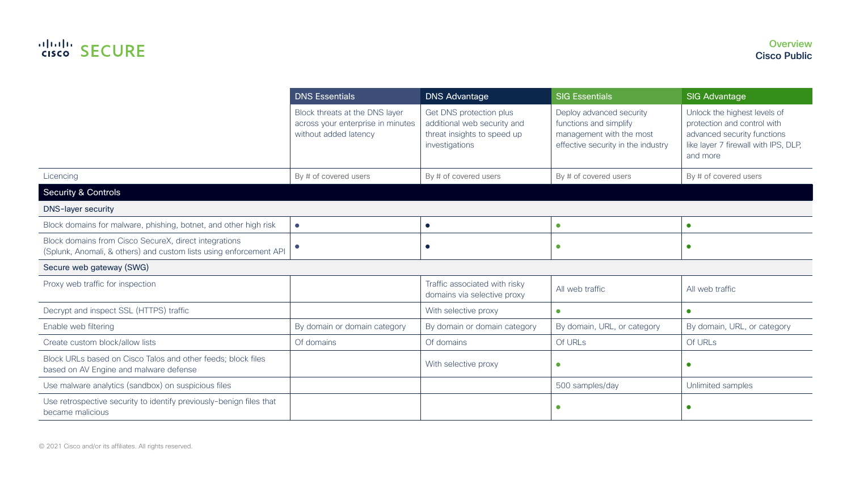## altalu SECURE

|                                                                                                                             | <b>DNS Essentials</b>                                                                        | <b>DNS Advantage</b>                                                                                    | <b>SIG Essentials</b>                                                                                                | <b>SIG Advantage</b>                                                                                                                           |
|-----------------------------------------------------------------------------------------------------------------------------|----------------------------------------------------------------------------------------------|---------------------------------------------------------------------------------------------------------|----------------------------------------------------------------------------------------------------------------------|------------------------------------------------------------------------------------------------------------------------------------------------|
|                                                                                                                             | Block threats at the DNS layer<br>across your enterprise in minutes<br>without added latency | Get DNS protection plus<br>additional web security and<br>threat insights to speed up<br>investigations | Deploy advanced security<br>functions and simplify<br>management with the most<br>effective security in the industry | Unlock the highest levels of<br>protection and control with<br>advanced security functions<br>like layer 7 firewall with IPS, DLP,<br>and more |
| Licencing                                                                                                                   | By # of covered users                                                                        | By # of covered users                                                                                   | By # of covered users                                                                                                | By # of covered users                                                                                                                          |
| Security & Controls                                                                                                         |                                                                                              |                                                                                                         |                                                                                                                      |                                                                                                                                                |
| <b>DNS-layer security</b>                                                                                                   |                                                                                              |                                                                                                         |                                                                                                                      |                                                                                                                                                |
| Block domains for malware, phishing, botnet, and other high risk                                                            | $\bullet$                                                                                    | $\bullet$                                                                                               | $\bullet$                                                                                                            | ٠                                                                                                                                              |
| Block domains from Cisco SecureX, direct integrations<br>(Splunk, Anomali, & others) and custom lists using enforcement API |                                                                                              | $\bullet$                                                                                               | $\bullet$                                                                                                            | ٠                                                                                                                                              |
| Secure web gateway (SWG)                                                                                                    |                                                                                              |                                                                                                         |                                                                                                                      |                                                                                                                                                |
| Proxy web traffic for inspection                                                                                            |                                                                                              | Traffic associated with risky<br>domains via selective proxy                                            | All web traffic                                                                                                      | All web traffic                                                                                                                                |
| Decrypt and inspect SSL (HTTPS) traffic                                                                                     |                                                                                              | With selective proxy                                                                                    | $\bullet$                                                                                                            | $\bullet$                                                                                                                                      |
| Enable web filtering                                                                                                        | By domain or domain category                                                                 | By domain or domain category                                                                            | By domain, URL, or category                                                                                          | By domain, URL, or category                                                                                                                    |
| Create custom block/allow lists                                                                                             | Of domains                                                                                   | Of domains                                                                                              | Of URLs                                                                                                              | Of URLs                                                                                                                                        |
| Block URLs based on Cisco Talos and other feeds; block files<br>based on AV Engine and malware defense                      |                                                                                              | With selective proxy                                                                                    | $\bullet$                                                                                                            | ٠                                                                                                                                              |
| Use malware analytics (sandbox) on suspicious files                                                                         |                                                                                              |                                                                                                         | 500 samples/day                                                                                                      | Unlimited samples                                                                                                                              |
| Use retrospective security to identify previously-benign files that<br>became malicious                                     |                                                                                              |                                                                                                         | О                                                                                                                    | С                                                                                                                                              |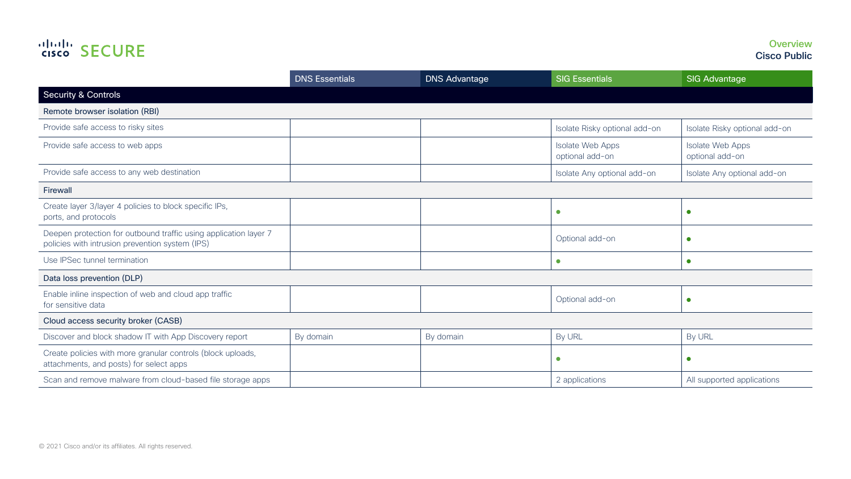### altalu SECURE

|                                                                                                                     | <b>DNS Essentials</b> | <b>DNS Advantage</b> | <b>SIG Essentials</b>                      | <b>SIG Advantage</b>                       |
|---------------------------------------------------------------------------------------------------------------------|-----------------------|----------------------|--------------------------------------------|--------------------------------------------|
| Security & Controls                                                                                                 |                       |                      |                                            |                                            |
| Remote browser isolation (RBI)                                                                                      |                       |                      |                                            |                                            |
| Provide safe access to risky sites                                                                                  |                       |                      | Isolate Risky optional add-on              | Isolate Risky optional add-on              |
| Provide safe access to web apps                                                                                     |                       |                      | <b>Isolate Web Apps</b><br>optional add-on | <b>Isolate Web Apps</b><br>optional add-on |
| Provide safe access to any web destination                                                                          |                       |                      | Isolate Any optional add-on                | Isolate Any optional add-on                |
| Firewall                                                                                                            |                       |                      |                                            |                                            |
| Create layer 3/layer 4 policies to block specific IPs,<br>ports, and protocols                                      |                       |                      | $\bullet$                                  | C                                          |
| Deepen protection for outbound traffic using application layer 7<br>policies with intrusion prevention system (IPS) |                       |                      | Optional add-on                            | $\bullet$                                  |
| Use IPSec tunnel termination                                                                                        |                       |                      | $\bullet$                                  | $\bullet$                                  |
| Data loss prevention (DLP)                                                                                          |                       |                      |                                            |                                            |
| Enable inline inspection of web and cloud app traffic<br>for sensitive data                                         |                       |                      | Optional add-on                            | r                                          |
| Cloud access security broker (CASB)                                                                                 |                       |                      |                                            |                                            |
| Discover and block shadow IT with App Discovery report                                                              | By domain             | By domain            | By URL                                     | By URL                                     |
| Create policies with more granular controls (block uploads,<br>attachments, and posts) for select apps              |                       |                      | $\bullet$                                  | $\bullet$                                  |
| Scan and remove malware from cloud-based file storage apps                                                          |                       |                      | 2 applications                             | All supported applications                 |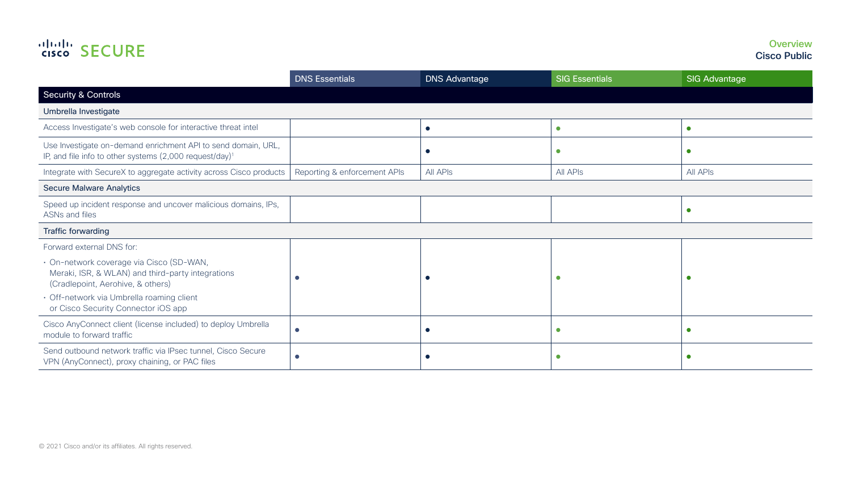## altalu SECURE

|                                                                                                                                      | <b>DNS Essentials</b>        | <b>DNS Advantage</b> | <b>SIG Essentials</b> | <b>SIG Advantage</b> |
|--------------------------------------------------------------------------------------------------------------------------------------|------------------------------|----------------------|-----------------------|----------------------|
| <b>Security &amp; Controls</b>                                                                                                       |                              |                      |                       |                      |
| Umbrella Investigate                                                                                                                 |                              |                      |                       |                      |
| Access Investigate's web console for interactive threat intel                                                                        |                              | $\bullet$            | $\bullet$             | $\bullet$            |
| Use Investigate on-demand enrichment API to send domain, URL,<br>IP, and file info to other systems (2,000 request/day) <sup>1</sup> |                              | $\bullet$            | ٠                     |                      |
| Integrate with SecureX to aggregate activity across Cisco products                                                                   | Reporting & enforcement APIs | All APIs             | All APIs              | All APIs             |
| <b>Secure Malware Analytics</b>                                                                                                      |                              |                      |                       |                      |
| Speed up incident response and uncover malicious domains, IPs,<br>ASNs and files                                                     |                              |                      |                       |                      |
| Traffic forwarding                                                                                                                   |                              |                      |                       |                      |
| Forward external DNS for:                                                                                                            |                              |                      |                       |                      |
| · On-network coverage via Cisco (SD-WAN,<br>Meraki, ISR, & WLAN) and third-party integrations<br>(Cradlepoint, Aerohive, & others)   |                              |                      |                       |                      |
| · Off-network via Umbrella roaming client<br>or Cisco Security Connector iOS app                                                     |                              |                      |                       |                      |
| Cisco AnyConnect client (license included) to deploy Umbrella<br>module to forward traffic                                           |                              |                      |                       |                      |
| Send outbound network traffic via IPsec tunnel, Cisco Secure<br>VPN (AnyConnect), proxy chaining, or PAC files                       | $\bullet$                    | $\bullet$            | с                     |                      |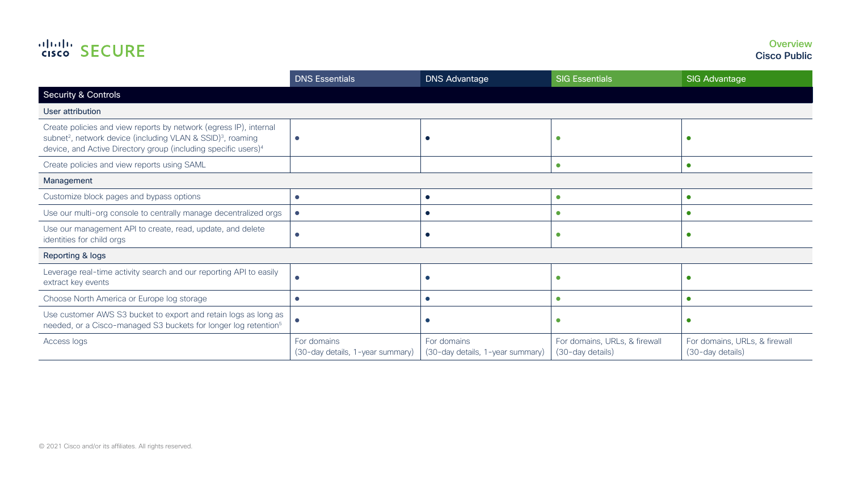## altalli SECURE

|                                                                                                                                                                                                                                        | <b>DNS</b> Essentials                           | <b>DNS Advantage</b>                            | <b>SIG Essentials</b>                             | <b>SIG Advantage</b>                              |
|----------------------------------------------------------------------------------------------------------------------------------------------------------------------------------------------------------------------------------------|-------------------------------------------------|-------------------------------------------------|---------------------------------------------------|---------------------------------------------------|
| Security & Controls                                                                                                                                                                                                                    |                                                 |                                                 |                                                   |                                                   |
| User attribution                                                                                                                                                                                                                       |                                                 |                                                 |                                                   |                                                   |
| Create policies and view reports by network (egress IP), internal<br>subnet <sup>2</sup> , network device (including VLAN & SSID) <sup>3</sup> , roaming<br>device, and Active Directory group (including specific users) <sup>4</sup> | $\bullet$                                       |                                                 |                                                   |                                                   |
| Create policies and view reports using SAML                                                                                                                                                                                            |                                                 |                                                 | $\bullet$                                         | $\bullet$                                         |
| Management                                                                                                                                                                                                                             |                                                 |                                                 |                                                   |                                                   |
| Customize block pages and bypass options                                                                                                                                                                                               | $\bullet$                                       | $\bullet$                                       | $\bullet$                                         | c                                                 |
| Use our multi-org console to centrally manage decentralized orgs                                                                                                                                                                       | $\bullet$                                       |                                                 | $\epsilon$                                        |                                                   |
| Use our management API to create, read, update, and delete<br>identities for child orgs                                                                                                                                                | 0                                               | $\bullet$                                       | $\bullet$                                         | г                                                 |
| Reporting & logs                                                                                                                                                                                                                       |                                                 |                                                 |                                                   |                                                   |
| Leverage real-time activity search and our reporting API to easily<br>extract key events                                                                                                                                               |                                                 |                                                 | с                                                 |                                                   |
| Choose North America or Europe log storage                                                                                                                                                                                             | $\bullet$                                       | $\bullet$                                       | О                                                 |                                                   |
| Use customer AWS S3 bucket to export and retain logs as long as<br>needed, or a Cisco-managed S3 buckets for longer log retention <sup>5</sup>                                                                                         | $\bullet$                                       |                                                 |                                                   |                                                   |
| Access logs                                                                                                                                                                                                                            | For domains<br>(30-day details, 1-year summary) | For domains<br>(30-day details, 1-year summary) | For domains, URLs, & firewall<br>(30-day details) | For domains, URLs, & firewall<br>(30-day details) |